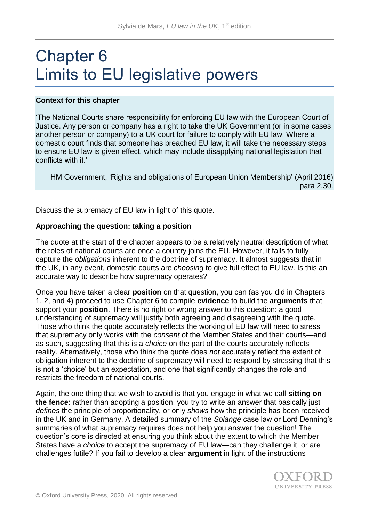# Chapter 6 Limits to EU legislative powers

### **Context for this chapter**

'The National Courts share responsibility for enforcing EU law with the European Court of Justice. Any person or company has a right to take the UK Government (or in some cases another person or company) to a UK court for failure to comply with EU law. Where a domestic court finds that someone has breached EU law, it will take the necessary steps to ensure EU law is given effect, which may include disapplying national legislation that conflicts with it.'

HM Government, 'Rights and obligations of European Union Membership' (April 2016) para 2.30.

Discuss the supremacy of EU law in light of this quote.

### **Approaching the question: taking a position**

The quote at the start of the chapter appears to be a relatively neutral description of what the roles of national courts are once a country joins the EU. However, it fails to fully capture the *obligations* inherent to the doctrine of supremacy. It almost suggests that in the UK, in any event, domestic courts are *choosing* to give full effect to EU law. Is this an accurate way to describe how supremacy operates?

Once you have taken a clear **position** on that question, you can (as you did in Chapters 1, 2, and 4) proceed to use Chapter 6 to compile **evidence** to build the **arguments** that support your **position**. There is no right or wrong answer to this question: a good understanding of supremacy will justify both agreeing and disagreeing with the quote. Those who think the quote accurately reflects the working of EU law will need to stress that supremacy only works with the *consent* of the Member States and their courts—and as such, suggesting that this is a *choice* on the part of the courts accurately reflects reality. Alternatively, those who think the quote does *not* accurately reflect the extent of obligation inherent to the doctrine of supremacy will need to respond by stressing that this is not a 'choice' but an expectation, and one that significantly changes the role and restricts the freedom of national courts.

Again, the one thing that we wish to avoid is that you engage in what we call **sitting on the fence**: rather than adopting a position, you try to write an answer that basically just *defines* the principle of proportionality, or only *shows* how the principle has been received in the UK and in Germany. A detailed summary of the *Solange* case law or Lord Denning's summaries of what supremacy requires does not help you answer the question! The question's core is directed at ensuring you think about the extent to which the Member States have a *choice* to accept the supremacy of EU law—can they challenge it, or are challenges futile? If you fail to develop a clear **argument** in light of the instructions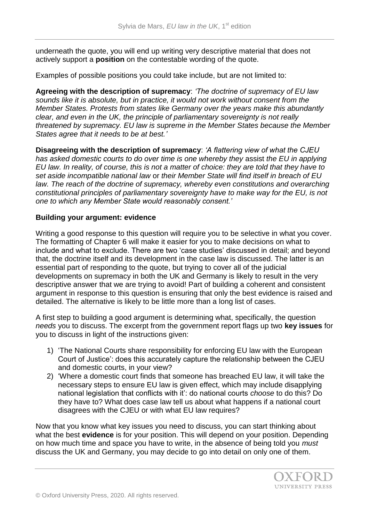underneath the quote, you will end up writing very descriptive material that does not actively support a **position** on the contestable wording of the quote.

Examples of possible positions you could take include, but are not limited to:

**Agreeing with the description of supremacy**: *'The doctrine of supremacy of EU law sounds like it is absolute, but in practice, it would not work without consent from the Member States. Protests from states like Germany over the years make this abundantly clear, and even in the UK, the principle of parliamentary sovereignty is not really threatened by supremacy. EU law is supreme in the Member States because the Member States agree that it needs to be at best.'*

**Disagreeing with the description of supremacy**: *'A flattering view of what the CJEU has asked domestic courts to do over time is one whereby they* assist *the EU in applying EU law. In reality, of course, this is not a matter of choice: they are told that they have to set aside incompatible national law* or *their Member State will find itself in breach of EU*  law. The reach of the doctrine of supremacy, whereby even constitutions and overarching *constitutional principles of parliamentary sovereignty have to make way for the EU, is not one to which any Member State would reasonably consent.'*

### **Building your argument: evidence**

Writing a good response to this question will require you to be selective in what you cover. The formatting of Chapter 6 will make it easier for you to make decisions on what to include and what to exclude. There are two 'case studies' discussed in detail; and beyond that, the doctrine itself and its development in the case law is discussed. The latter is an essential part of responding to the quote, but trying to cover all of the judicial developments on supremacy in both the UK and Germany is likely to result in the very descriptive answer that we are trying to avoid! Part of building a coherent and consistent argument in response to this question is ensuring that only the best evidence is raised and detailed. The alternative is likely to be little more than a long list of cases.

A first step to building a good argument is determining what, specifically, the question *needs* you to discuss. The excerpt from the government report flags up two **key issues** for you to discuss in light of the instructions given:

- 1) 'The National Courts share responsibility for enforcing EU law with the European Court of Justice': does this accurately capture the relationship between the CJEU and domestic courts, in your view?
- 2) 'Where a domestic court finds that someone has breached EU law, it will take the necessary steps to ensure EU law is given effect, which may include disapplying national legislation that conflicts with it': do national courts *choose* to do this? Do they have to? What does case law tell us about what happens if a national court disagrees with the CJEU or with what EU law requires?

Now that you know what key issues you need to discuss, you can start thinking about what the best **evidence** is for your position. This will depend on your position. Depending on how much time and space you have to write, in the absence of being told you *must* discuss the UK and Germany, you may decide to go into detail on only one of them.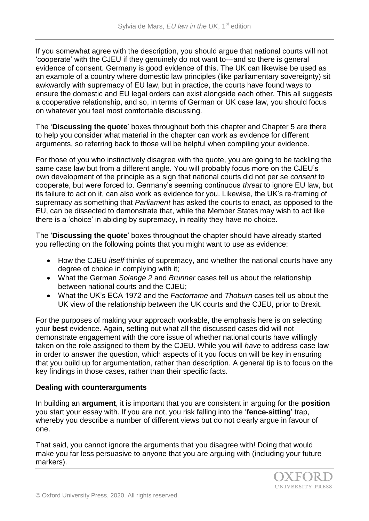If you somewhat agree with the description, you should argue that national courts will not 'cooperate' with the CJEU if they genuinely do not want to—and so there is general evidence of consent. Germany is good evidence of this. The UK can likewise be used as an example of a country where domestic law principles (like parliamentary sovereignty) sit awkwardly with supremacy of EU law, but in practice, the courts have found ways to ensure the domestic and EU legal orders can exist alongside each other. This all suggests a cooperative relationship, and so, in terms of German or UK case law, you should focus on whatever you feel most comfortable discussing.

The '**Discussing the quote**' boxes throughout both this chapter and Chapter 5 are there to help you consider what material in the chapter can work as evidence for different arguments, so referring back to those will be helpful when compiling your evidence.

For those of you who instinctively disagree with the quote, you are going to be tackling the same case law but from a different angle. You will probably focus more on the CJEU's own development of the principle as a sign that national courts did not per se *consent* to cooperate, but were forced to. Germany's seeming continuous *threat* to ignore EU law, but its failure to act on it, can also work as evidence for you. Likewise, the UK's re-framing of supremacy as something that *Parliament* has asked the courts to enact, as opposed to the EU, can be dissected to demonstrate that, while the Member States may wish to act like there is a 'choice' in abiding by supremacy, in reality they have no choice.

The '**Discussing the quote**' boxes throughout the chapter should have already started you reflecting on the following points that you might want to use as evidence:

- How the CJEU *itself* thinks of supremacy, and whether the national courts have any degree of choice in complying with it;
- What the German *Solange 2* and *Brunner* cases tell us about the relationship between national courts and the CJEU;
- What the UK's ECA 1972 and the *Factortame* and *Thoburn* cases tell us about the UK view of the relationship between the UK courts and the CJEU, prior to Brexit.

For the purposes of making your approach workable, the emphasis here is on selecting your **best** evidence. Again, setting out what all the discussed cases did will not demonstrate engagement with the core issue of whether national courts have willingly taken on the role assigned to them by the CJEU. While you will *have* to address case law in order to answer the question, which aspects of it you focus on will be key in ensuring that you build up for argumentation, rather than description. A general tip is to focus on the key findings in those cases, rather than their specific facts.

## **Dealing with counterarguments**

In building an **argument**, it is important that you are consistent in arguing for the **position**  you start your essay with. If you are not, you risk falling into the '**fence-sitting**' trap, whereby you describe a number of different views but do not clearly argue in favour of one.

That said, you cannot ignore the arguments that you disagree with! Doing that would make you far less persuasive to anyone that you are arguing with (including your future markers).